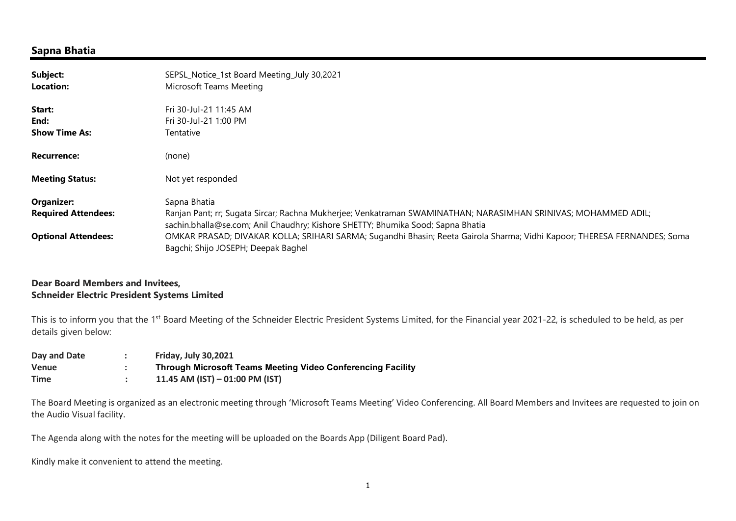## Sapna Bhatia

| Subject:<br><b>Location:</b>             | SEPSL_Notice_1st Board Meeting_July 30,2021<br>Microsoft Teams Meeting                                                                                                                                            |  |
|------------------------------------------|-------------------------------------------------------------------------------------------------------------------------------------------------------------------------------------------------------------------|--|
| Start:<br>End:<br><b>Show Time As:</b>   | Fri 30-Jul-21 11:45 AM<br>Fri 30-Jul-21 1:00 PM<br>Tentative                                                                                                                                                      |  |
| <b>Recurrence:</b>                       | (none)                                                                                                                                                                                                            |  |
| <b>Meeting Status:</b>                   | Not yet responded                                                                                                                                                                                                 |  |
| Organizer:<br><b>Required Attendees:</b> | Sapna Bhatia<br>Ranjan Pant; rr; Sugata Sircar; Rachna Mukherjee; Venkatraman SWAMINATHAN; NARASIMHAN SRINIVAS; MOHAMMED ADIL;<br>sachin.bhalla@se.com; Anil Chaudhry; Kishore SHETTY; Bhumika Sood; Sapna Bhatia |  |
| <b>Optional Attendees:</b>               | OMKAR PRASAD; DIVAKAR KOLLA; SRIHARI SARMA; Sugandhi Bhasin; Reeta Gairola Sharma; Vidhi Kapoor; THERESA FERNANDES; Soma<br>Bagchi; Shijo JOSEPH; Deepak Baghel                                                   |  |

## Dear Board Members and Invitees, Schneider Electric President Systems Limited

This is to inform you that the 1<sup>st</sup> Board Meeting of the Schneider Electric President Systems Limited, for the Financial year 2021-22, is scheduled to be held, as per details given below:

| Day and Date | <b>Friday, July 30,2021</b>                                        |
|--------------|--------------------------------------------------------------------|
| Venue        | <b>Through Microsoft Teams Meeting Video Conferencing Facility</b> |
| <b>Time</b>  | 11.45 AM (IST) $-$ 01:00 PM (IST)                                  |

The Board Meeting is organized as an electronic meeting through 'Microsoft Teams Meeting' Video Conferencing. All Board Members and Invitees are requested to join on the Audio Visual facility.

The Agenda along with the notes for the meeting will be uploaded on the Boards App (Diligent Board Pad).

Kindly make it convenient to attend the meeting.